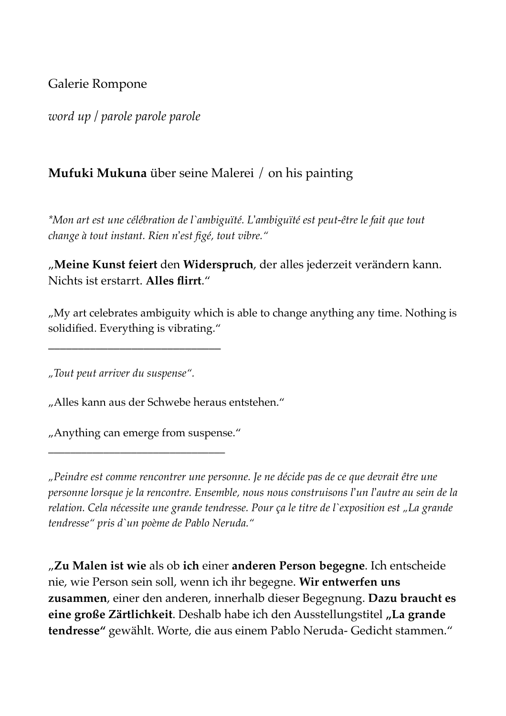## Galerie Rompone

*word up / parole parole parole*

## **Mufuki Mukuna** über seine Malerei / on his painting

*\*Mon art est une célébration de l`ambiguïté. L*!*ambiguïté est peut-être le fait que tout change à tout instant. Rien n*!*est figé, tout vibre."*

## "**Meine Kunst feiert** den **Widerspruch**, der alles jederzeit verändern kann. Nichts ist erstarrt. **Alles flirrt**."

"My art celebrates ambiguity which is able to change anything any time. Nothing is solidified. Everything is vibrating."

*"Tout peut arriver du suspense".*

\_\_\_\_\_\_\_\_\_\_\_\_\_\_\_\_\_\_\_\_\_\_\_\_\_\_\_\_\_

"Alles kann aus der Schwebe heraus entstehen."

"Anything can emerge from suspense."

\_\_\_\_\_\_\_\_\_\_\_\_\_\_\_\_\_\_\_\_\_\_\_\_\_\_\_\_\_\_\_\_

*"Peindre est comme rencontrer une personne. Je ne décide pas de ce que devrait être une personne lorsque je la rencontre. Ensemble, nous nous construisons l*!*un l*!*autre au sein de la relation. Cela nécessite une grande tendresse. Pour ça le titre de l`exposition est "La grande tendresse" pris d`un poème de Pablo Neruda."*

"**Zu Malen ist wie** als ob **ich** einer **anderen Person begegne**. Ich entscheide nie, wie Person sein soll, wenn ich ihr begegne. **Wir entwerfen uns zusammen**, einer den anderen, innerhalb dieser Begegnung. **Dazu braucht es eine große Zärtlichkeit**. Deshalb habe ich den Ausstellungstitel **"La grande tendresse"** gewählt. Worte, die aus einem Pablo Neruda- Gedicht stammen."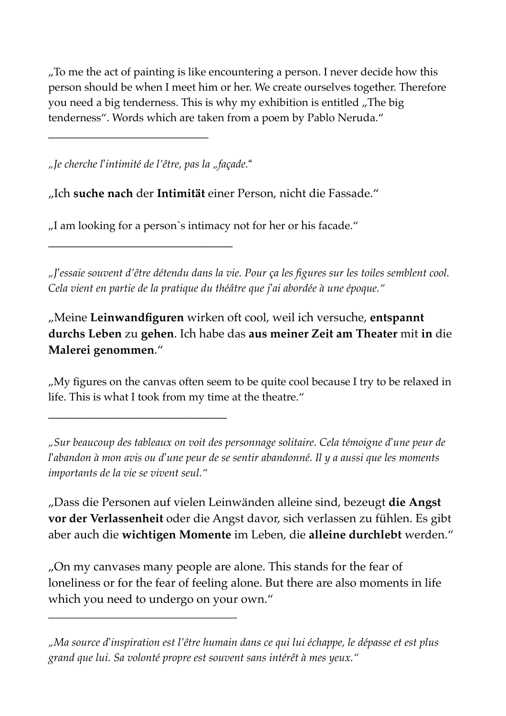"To me the act of painting is like encountering a person. I never decide how this person should be when I meet him or her. We create ourselves together. Therefore you need a big tenderness. This is why my exhibition is entitled "The big tenderness". Words which are taken from a poem by Pablo Neruda."

*"Je cherche l*!*intimité de l'être, pas la "façade.*"

\_\_\_\_\_\_\_\_\_\_\_\_\_\_\_\_\_\_\_\_\_\_\_\_\_\_\_\_\_\_\_

\_\_\_\_\_\_\_\_\_\_\_\_\_\_\_\_\_\_\_\_\_\_\_\_\_\_\_\_\_\_

\_\_\_\_\_\_\_\_\_\_\_\_\_\_\_\_\_\_\_\_\_\_\_\_\_\_\_\_\_\_\_\_\_\_\_\_\_

\_\_\_\_\_\_\_\_\_\_\_\_\_\_\_\_\_\_\_\_\_\_\_\_\_\_\_\_\_

"Ich **suche nach** der **Intimität** einer Person, nicht die Fassade."

"I am looking for a person`s intimacy not for her or his facade."

*"J*!*essaie souvent d'être détendu dans la vie. Pour ça les figures sur les toiles semblent cool. Cela vient en partie de la pratique du théâtre que j*!*ai abordée à une époque."*

"Meine **Leinwandfiguren** wirken oft cool, weil ich versuche, **entspannt durchs Leben** zu **gehen**. Ich habe das **aus meiner Zeit am Theater** mit **in** die **Malerei genommen**."

". My figures on the canvas often seem to be quite cool because I try to be relaxed in life. This is what I took from my time at the theatre."

*"Sur beaucoup des tableaux on voit des personnage solitaire. Cela témoigne d*!*une peur de l*!*abandon à mon avis ou d*!*une peur de se sentir abandonné. Il y a aussi que les moments importants de la vie se vivent seul."*

"Dass die Personen auf vielen Leinwänden alleine sind, bezeugt **die Angst vor der Verlassenheit** oder die Angst davor, sich verlassen zu fühlen. Es gibt aber auch die **wichtigen Momente** im Leben, die **alleine durchlebt** werden."

"On my canvases many people are alone. This stands for the fear of loneliness or for the fear of feeling alone. But there are also moments in life which you need to undergo on your own."

*<sup>&</sup>quot;Ma source d*!*inspiration est l'être humain dans ce qui lui échappe, le dépasse et est plus grand que lui. Sa volonté propre est souvent sans intérêt à mes yeux."*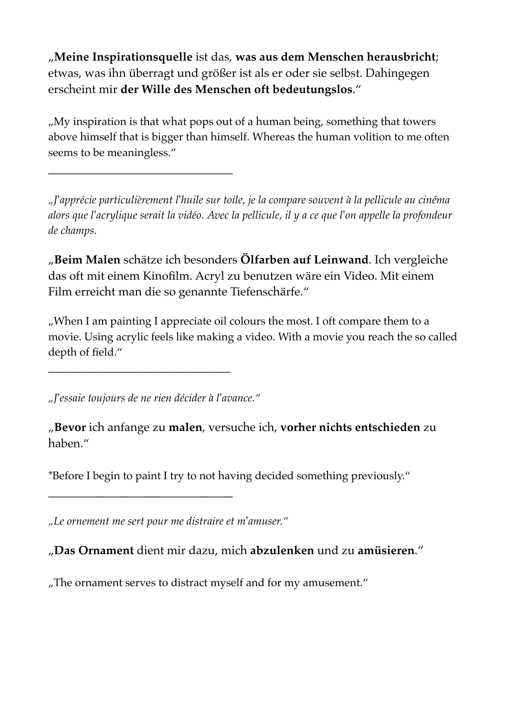"**Meine Inspirationsquelle** ist das, **was aus dem Menschen herausbricht**; etwas, was ihn überragt und größer ist als er oder sie selbst. Dahingegen erscheint mir **der Wille des Menschen oft bedeutungslos**."

"My inspiration is that what pops out of a human being, something that towers above himself that is bigger than himself. Whereas the human volition to me often seems to be meaningless."

\_\_\_\_\_\_\_\_\_\_\_\_\_\_\_\_\_\_\_\_\_\_\_\_\_\_\_\_\_\_\_

*"J*!*apprécie particulièrement l*!*huile sur toile, je la compare souvent à la pellicule au cinéma alors que l*!*acrylique serait la vidéo. Avec la pellicule, il y a ce que l*!*on appelle la profondeur de champs.*

"**Beim Malen** schätze ich besonders **Ölfarben auf Leinwand**. Ich vergleiche das oft mit einem Kinofilm. Acryl zu benutzen wäre ein Video. Mit einem Film erreicht man die so genannte Tiefenschärfe."

"When I am painting I appreciate oil colours the most. I oft compare them to a movie. Using acrylic feels like making a video. With a movie you reach the so called depth of field."

*"J*!*essaie toujours de ne rien décider à l*!*avance."*

\_\_\_\_\_\_\_\_\_\_\_\_\_\_\_\_\_\_\_\_\_\_\_\_\_\_\_\_\_\_\_\_\_

\_\_\_\_\_\_\_\_\_\_\_\_\_\_\_\_\_\_\_\_\_\_\_\_\_\_\_\_\_\_\_

"**Bevor** ich anfange zu **malen**, versuche ich, **vorher nichts entschieden** zu haben."

\*Before I begin to paint I try to not having decided something previously."

*"Le ornement me sert pour me distraire et m*!*amuser."*

"**Das Ornament** dient mir dazu, mich **abzulenken** und zu **amüsieren**."

"The ornament serves to distract myself and for my amusement."